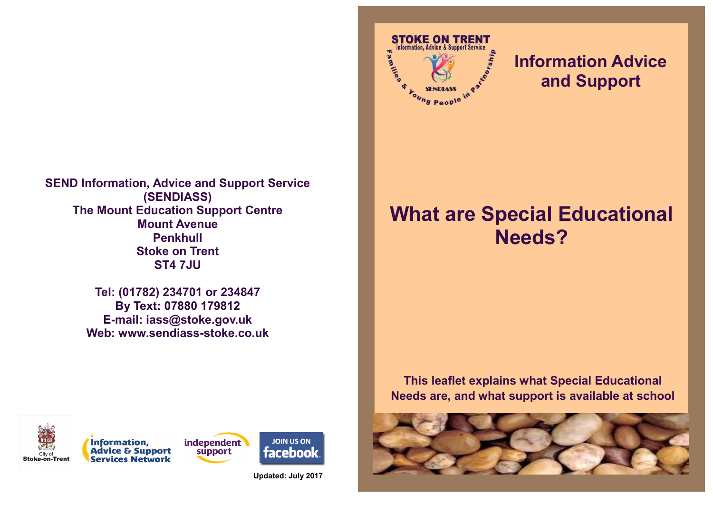

**Tel: (01782) 234701 or 234847 By Text: 07880 179812 E-mail: iass@stoke.gov.uk Web: www.sendiass-stoke.co.uk**



# **Information Advice and Support**

# **What are Special Educational Needs?**

**This leaflet explains what Special Educational Needs are, and what support is available at school** 











**Updated: July 2017**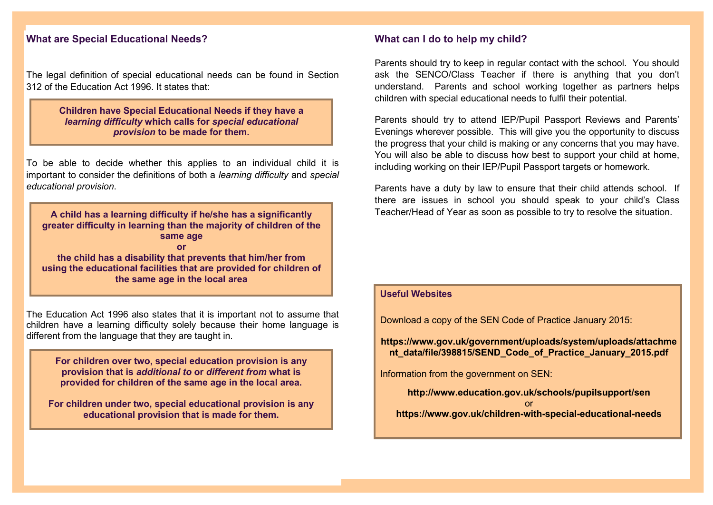#### **What are Special Educational Needs?**

The legal definition of special educational needs can be found in Section 312 of the Education Act 1996. It states that:

> **Children have Special Educational Needs if they have a**  *learning difficulty* **which calls for** *special educational provision* **to be made for them.**

To be able to decide whether this applies to an individual child it is important to consider the definitions of both a *learning difficulty* and *special educational provision*.

**A child has a learning difficulty if he/she has a significantly greater difficulty in learning than the majority of children of the same age or the child has a disability that prevents that him/her from using the educational facilities that are provided for children of the same age in the local area** 

The Education Act 1996 also states that it is important not to assume that children have a learning difficulty solely because their home language is different from the language that they are taught in.

**For children over two, special education provision is any provision that is** *additional to* **or** *different from* **what is provided for children of the same age in the local area.**

**For children under two, special educational provision is any educational provision that is made for them.**

#### **What can I do to help my child?**

Parents should try to keep in regular contact with the school. You should ask the SENCO/Class Teacher if there is anything that you don't understand. Parents and school working together as partners helps children with special educational needs to fulfil their potential.

Parents should try to attend IEP/Pupil Passport Reviews and Parents' Evenings wherever possible. This will give you the opportunity to discuss the progress that your child is making or any concerns that you may have. You will also be able to discuss how best to support your child at home, including working on their IEP/Pupil Passport targets or homework.

Parents have a duty by law to ensure that their child attends school. If there are issues in school you should speak to your child's Class Teacher/Head of Year as soon as possible to try to resolve the situation.

#### **Useful Websites**

Download a copy of the SEN Code of Practice January 2015:

**https://www.gov.uk/government/uploads/system/uploads/attachme nt\_data/file/398815/SEND\_Code\_of\_Practice\_January\_2015.pdf**

Information from the government on SEN:

**http://www.education.gov.uk/schools/pupilsupport/sen** or

**https://www.gov.uk/children-with-special-educational-needs**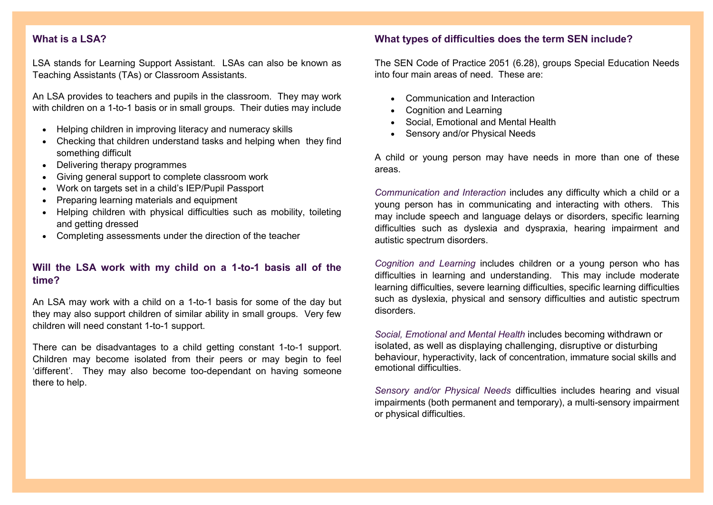# **What is a LSA?**

LSA stands for Learning Support Assistant. LSAs can also be known as Teaching Assistants (TAs) or Classroom Assistants.

An LSA provides to teachers and pupils in the classroom. They may work with children on a 1-to-1 basis or in small groups. Their duties may include

- Helping children in improving literacy and numeracy skills
- Checking that children understand tasks and helping when they find something difficult
- Delivering therapy programmes
- Giving general support to complete classroom work
- Work on targets set in a child's IEP/Pupil Passport
- Preparing learning materials and equipment
- Helping children with physical difficulties such as mobility, toileting and getting dressed
- Completing assessments under the direction of the teacher

# **Will the LSA work with my child on a 1-to-1 basis all of the time?**

An LSA may work with a child on a 1-to-1 basis for some of the day but they may also support children of similar ability in small groups. Very few children will need constant 1-to-1 support.

There can be disadvantages to a child getting constant 1-to-1 support. Children may become isolated from their peers or may begin to feel 'different'. They may also become too-dependant on having someone there to help.

#### **What types of difficulties does the term SEN include?**

The SEN Code of Practice 2051 (6.28), groups Special Education Needs into four main areas of need. These are:

- Communication and Interaction
- Cognition and Learning
- Social, Emotional and Mental Health
- Sensory and/or Physical Needs

A child or young person may have needs in more than one of these areas.

*Communication and Interaction* includes any difficulty which a child or a young person has in communicating and interacting with others. This may include speech and language delays or disorders, specific learning difficulties such as dyslexia and dyspraxia, hearing impairment and autistic spectrum disorders.

*Cognition and Learning* includes children or a young person who has difficulties in learning and understanding. This may include moderate learning difficulties, severe learning difficulties, specific learning difficulties such as dyslexia, physical and sensory difficulties and autistic spectrum disorders.

*Social, Emotional and Mental Health* includes becoming withdrawn or isolated, as well as displaying challenging, disruptive or disturbing behaviour, hyperactivity, lack of concentration, immature social skills and emotional difficulties.

*Sensory and/or Physical Needs* difficulties includes hearing and visual impairments (both permanent and temporary), a multi-sensory impairment or physical difficulties.